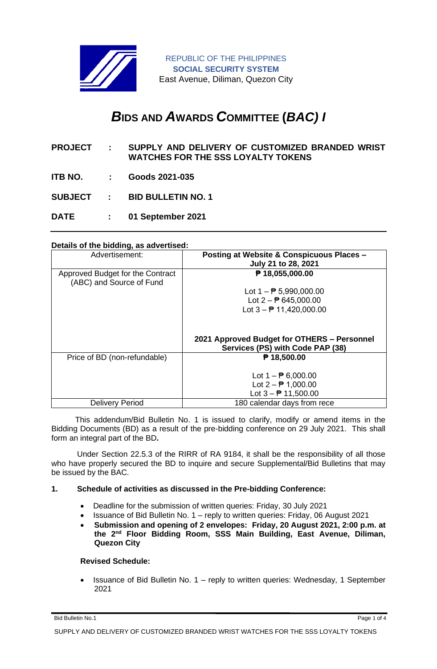

REPUBLIC OF THE PHILIPPINES **SOCIAL SECURITY SYSTEM** East Avenue, Diliman, Quezon City

# *B***IDS AND** *A***WARDS** *C***OMMITTEE (***BAC) I*

- **PROJECT : SUPPLY AND DELIVERY OF CUSTOMIZED BRANDED WRIST WATCHES FOR THE SSS LOYALTY TOKENS**
- **ITB NO. : Goods 2021-035**
- **SUBJECT : BID BULLETIN NO. 1**
- **DATE : 01 September 2021**

#### **Details of the bidding, as advertised:**

| Advertisement:                                               | Posting at Website & Conspicuous Places -<br>July 21 to 28, 2021                |
|--------------------------------------------------------------|---------------------------------------------------------------------------------|
| Approved Budget for the Contract<br>(ABC) and Source of Fund | ₱ 18,055,000.00                                                                 |
|                                                              | Lot $1 - P$ 5,990,000.00                                                        |
|                                                              | Lot $2 - P$ 645,000.00                                                          |
|                                                              | Lot $3 - 11,420,000.00$                                                         |
|                                                              | 2021 Approved Budget for OTHERS - Personnel<br>Services (PS) with Code PAP (38) |
| Price of BD (non-refundable)                                 | $P$ 18,500.00                                                                   |
|                                                              | Lot $1 - P_0$ 6,000.00<br>Lot $2 - P$ 1,000.00<br>Lot $3 - 11,500.00$           |
| <b>Delivery Period</b>                                       | 180 calendar days from rece                                                     |

 This addendum/Bid Bulletin No. 1 is issued to clarify, modify or amend items in the Bidding Documents (BD) as a result of the pre-bidding conference on 29 July 2021. This shall form an integral part of the BD**.**

Under Section 22.5.3 of the RIRR of RA 9184, it shall be the responsibility of all those who have properly secured the BD to inquire and secure Supplemental/Bid Bulletins that may be issued by the BAC.

#### **1. Schedule of activities as discussed in the Pre-bidding Conference:**

- Deadline for the submission of written queries: Friday, 30 July 2021
- Issuance of Bid Bulletin No. 1 reply to written queries: Friday, 06 August 2021
- **Submission and opening of 2 envelopes: Friday, 20 August 2021, 2:00 p.m. at the 2nd Floor Bidding Room, SSS Main Building, East Avenue, Diliman, Quezon City**

## **Revised Schedule:**

• Issuance of Bid Bulletin No. 1 – reply to written queries: Wednesday, 1 September 2021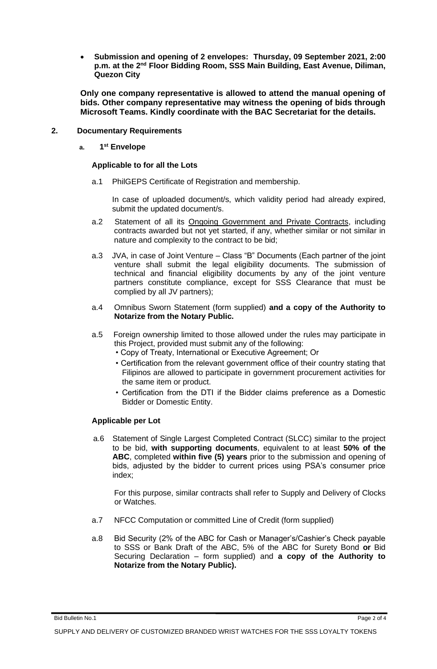• **Submission and opening of 2 envelopes: Thursday, 09 September 2021, 2:00 p.m. at the 2nd Floor Bidding Room, SSS Main Building, East Avenue, Diliman, Quezon City**

**Only one company representative is allowed to attend the manual opening of bids. Other company representative may witness the opening of bids through Microsoft Teams. Kindly coordinate with the BAC Secretariat for the details.**

#### **2. Documentary Requirements**

**a. 1 st Envelope**

#### **Applicable to for all the Lots**

a.1 PhilGEPS Certificate of Registration and membership.

In case of uploaded document/s, which validity period had already expired, submit the updated document/s.

- a.2 Statement of all its Ongoing Government and Private Contracts, including contracts awarded but not yet started, if any, whether similar or not similar in nature and complexity to the contract to be bid;
- a.3 JVA, in case of Joint Venture Class "B" Documents (Each partner of the joint venture shall submit the legal eligibility documents. The submission of technical and financial eligibility documents by any of the joint venture partners constitute compliance, except for SSS Clearance that must be complied by all JV partners);
- a.4 Omnibus Sworn Statement (form supplied) **and a copy of the Authority to Notarize from the Notary Public.**
- a.5 Foreign ownership limited to those allowed under the rules may participate in this Project, provided must submit any of the following:
	- Copy of Treaty, International or Executive Agreement; Or
	- Certification from the relevant government office of their country stating that Filipinos are allowed to participate in government procurement activities for the same item or product.
	- Certification from the DTI if the Bidder claims preference as a Domestic Bidder or Domestic Entity.

#### **Applicable per Lot**

a.6 Statement of Single Largest Completed Contract (SLCC) similar to the project to be bid, **with supporting documents**, equivalent to at least **50% of the ABC**, completed **within five (5) years** prior to the submission and opening of bids, adjusted by the bidder to current prices using PSA's consumer price index;

For this purpose, similar contracts shall refer to Supply and Delivery of Clocks or Watches.

- a.7 NFCC Computation or committed Line of Credit (form supplied)
- a.8 Bid Security (2% of the ABC for Cash or Manager's/Cashier's Check payable to SSS or Bank Draft of the ABC, 5% of the ABC for Surety Bond **or** Bid Securing Declaration – form supplied) and **a copy of the Authority to Notarize from the Notary Public).**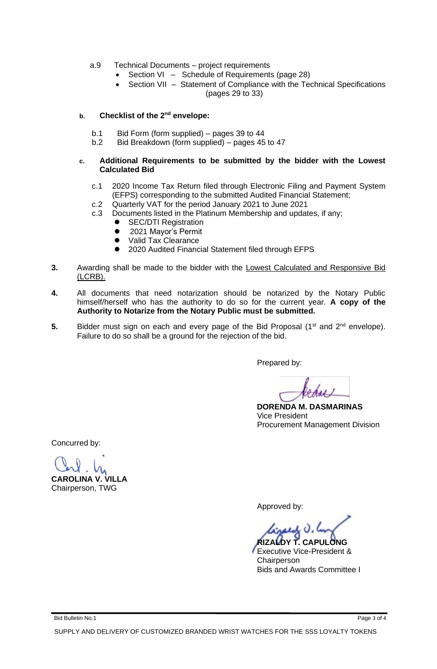- a.9 Technical Documents project requirements
	- Section VI Schedule of Requirements (page 28)
	- Section VII Statement of Compliance with the Technical Specifications (pages 29 to 33)

### **b. Checklist of the 2nd envelope:**

- b.1 Bid Form (form supplied) pages 39 to 44
- b.2 Bid Breakdown (form supplied) pages 45 to 47

#### **c. Additional Requirements to be submitted by the bidder with the Lowest Calculated Bid**

- c.1 2020 Income Tax Return filed through Electronic Filing and Payment System (EFPS) corresponding to the submitted Audited Financial Statement;
- c.2 Quarterly VAT for the period January 2021 to June 2021
- c.3 Documents listed in the Platinum Membership and updates, if any;
	- ⚫ SEC/DTI Registration
	- ⚫ 2021 Mayor's Permit
	- ⚫ Valid Tax Clearance
	- 2020 Audited Financial Statement filed through EFPS
- **3.** Awarding shall be made to the bidder with the Lowest Calculated and Responsive Bid (LCRB).
- **4.** All documents that need notarization should be notarized by the Notary Public himself/herself who has the authority to do so for the current year. **A copy of the Authority to Notarize from the Notary Public must be submitted.**
- 5. Bidder must sign on each and every page of the Bid Proposal (1<sup>st</sup> and 2<sup>nd</sup> envelope). Failure to do so shall be a ground for the rejection of the bid.

Prepared by:

 **DORENDA M. DASMARINAS** Vice President Procurement Management Division

Concurred by:

**CAROLINA V. VILLA**

Chairperson, TWG

Approved by:

 $\mu$ d  $\theta$ ,  $\theta$ **RIZALDY T. CAPULONG**

Executive Vice-President & **Chairperson** Bids and Awards Committee I

Bid Bulletin No.1 Page 3 of 4

SUPPLY AND DELIVERY OF CUSTOMIZED BRANDED WRIST WATCHES FOR THE SSS LOYALTY TOKENS